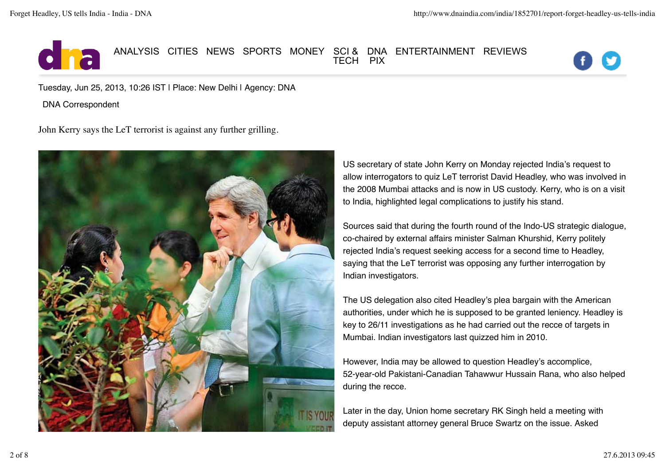

## Forget Headley, US tells India ANALYSIS CITIES NEWS SPORTS MONEY SCI & TECH DNA PIX ENTERTAINMENT REVIEWS



Tuesday, Jun 25, 2013, 10:26 IST | Place: New Delhi | Agency: DNA

DNA Correspondent

John Kerry says the LeT terrorist is against any further grilling.



US secretary of state John Kerry on Monday rejected India's request to allow interrogators to quiz LeT terrorist David Headley, who was involved in the 2008 Mumbai attacks and is now in US custody. Kerry, who is on a visit to India, highlighted legal complications to justify his stand.

Sources said that during the fourth round of the Indo-US strategic dialogue, co-chaired by external affairs minister Salman Khurshid, Kerry politely rejected India's request seeking access for a second time to Headley, saying that the LeT terrorist was opposing any further interrogation by Indian investigators.

The US delegation also cited Headley's plea bargain with the American authorities, under which he is supposed to be granted leniency. Headley is key to 26/11 investigations as he had carried out the recce of targets in Mumbai. Indian investigators last quizzed him in 2010.

However, India may be allowed to question Headley's accomplice, 52-year-old Pakistani-Canadian Tahawwur Hussain Rana, who also helped during the recce.

Later in the day, Union home secretary RK Singh held a meeting with deputy assistant attorney general Bruce Swartz on the issue. Asked